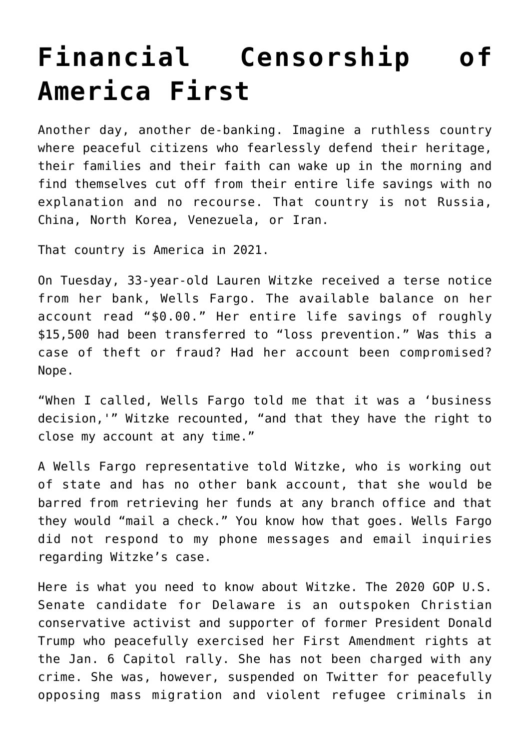## **[Financial Censorship of](https://intellectualtakeout.org/2021/06/financial-censorship-of-america-first/) [America First](https://intellectualtakeout.org/2021/06/financial-censorship-of-america-first/)**

Another day, another de-banking. Imagine a ruthless country where peaceful citizens who fearlessly defend their heritage, their families and their faith can wake up in the morning and find themselves cut off from their entire life savings with no explanation and no recourse. That country is not Russia, China, North Korea, Venezuela, or Iran.

That country is America in 2021.

On Tuesday, 33-year-old Lauren Witzke received a terse notice from her bank, Wells Fargo. The available balance on her account read "\$0.00." Her entire life savings of roughly \$15,500 had been transferred to "loss prevention." Was this a case of theft or fraud? Had her account been compromised? Nope.

"When I called, Wells Fargo told me that it was a 'business decision,'" Witzke recounted, "and that they have the right to close my account at any time."

A Wells Fargo representative told Witzke, who is working out of state and has no other bank account, that she would be barred from retrieving her funds at any branch office and that they would "mail a check." You know how that goes. Wells Fargo did not respond to my phone messages and email inquiries regarding Witzke's case.

Here is what you need to know about Witzke. The 2020 GOP U.S. Senate candidate for Delaware is an outspoken Christian conservative activist and supporter of former President Donald Trump who peacefully exercised her First Amendment rights at the Jan. 6 Capitol rally. She has not been charged with any crime. She was, however, suspended on Twitter for peacefully opposing mass migration and violent refugee criminals in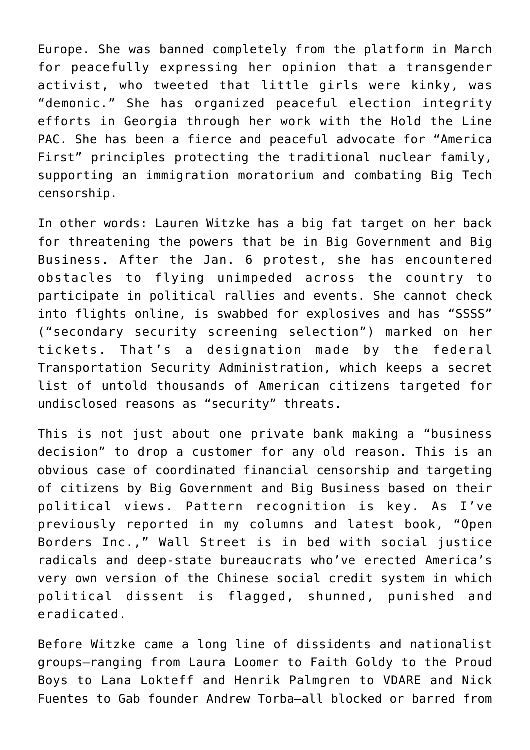Europe. She was banned completely from the platform in March for peacefully expressing her opinion that a transgender activist, who tweeted that little girls were kinky, was "demonic." She has organized peaceful election integrity efforts in Georgia through her work with the Hold the Line PAC. She has been a fierce and peaceful advocate for "America First" principles protecting the traditional nuclear family, supporting an immigration moratorium and combating Big Tech censorship.

In other words: Lauren Witzke has a big fat target on her back for threatening the powers that be in Big Government and Big Business. After the Jan. 6 protest, she has encountered obstacles to flying unimpeded across the country to participate in political rallies and events. She cannot check into flights online, is swabbed for explosives and has "SSSS" ("secondary security screening selection") marked on her tickets. That's a designation made by the federal Transportation Security Administration, which keeps a secret list of untold thousands of American citizens targeted for undisclosed reasons as "security" threats.

This is not just about one private bank making a "business decision" to drop a customer for any old reason. This is an obvious case of coordinated financial censorship and targeting of citizens by Big Government and Big Business based on their political views. Pattern recognition is key. As I've previously reported in my columns and latest book, "Open Borders Inc.," Wall Street is in bed with social justice radicals and deep-state bureaucrats who've erected America's very own version of the Chinese social credit system in which political dissent is flagged, shunned, punished and eradicated.

Before Witzke came a long line of dissidents and nationalist groups—ranging from Laura Loomer to Faith Goldy to the Proud Boys to Lana Lokteff and Henrik Palmgren to VDARE and Nick Fuentes to Gab founder Andrew Torba—all blocked or barred from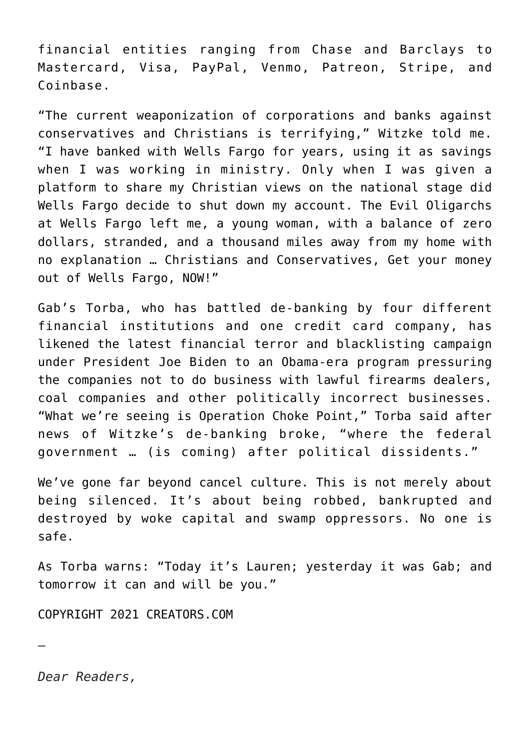financial entities ranging from Chase and Barclays to Mastercard, Visa, PayPal, Venmo, Patreon, Stripe, and Coinbase.

"The current weaponization of corporations and banks against conservatives and Christians is terrifying," Witzke told me. "I have banked with Wells Fargo for years, using it as savings when I was working in ministry. Only when I was given a platform to share my Christian views on the national stage did Wells Fargo decide to shut down my account. The Evil Oligarchs at Wells Fargo left me, a young woman, with a balance of zero dollars, stranded, and a thousand miles away from my home with no explanation … Christians and Conservatives, Get your money out of Wells Fargo, NOW!"

Gab's Torba, who has battled de-banking by four different financial institutions and one credit card company, has likened the latest financial terror and blacklisting campaign under President Joe Biden to an Obama-era program pressuring the companies not to do business with lawful firearms dealers, coal companies and other politically incorrect businesses. "What we're seeing is Operation Choke Point," Torba said after news of Witzke's de-banking broke, "where the federal government … (is coming) after political dissidents."

We've gone far beyond cancel culture. This is not merely about being silenced. It's about being robbed, bankrupted and destroyed by woke capital and swamp oppressors. No one is safe.

As Torba warns: "Today it's Lauren; yesterday it was Gab; and tomorrow it can and will be you."

COPYRIGHT 2021 CREATORS.COM

*Dear Readers,*

—